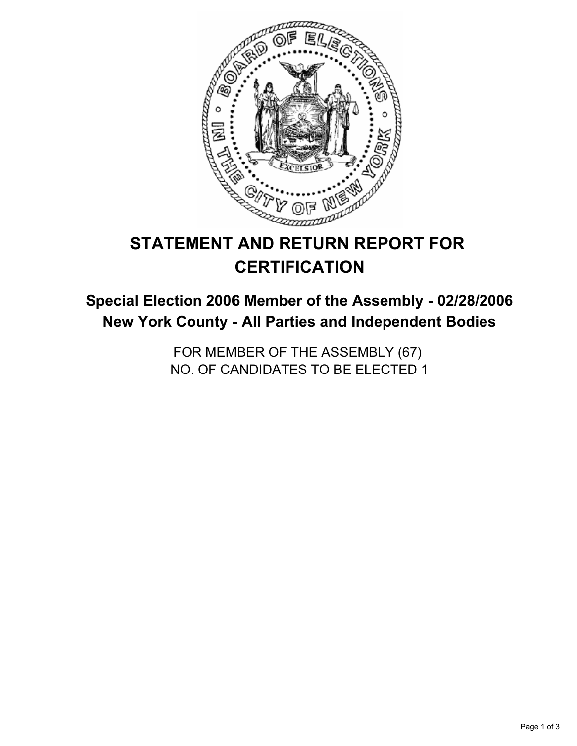

# **STATEMENT AND RETURN REPORT FOR CERTIFICATION**

## **Special Election 2006 Member of the Assembly - 02/28/2006 New York County - All Parties and Independent Bodies**

FOR MEMBER OF THE ASSEMBLY (67) NO. OF CANDIDATES TO BE ELECTED 1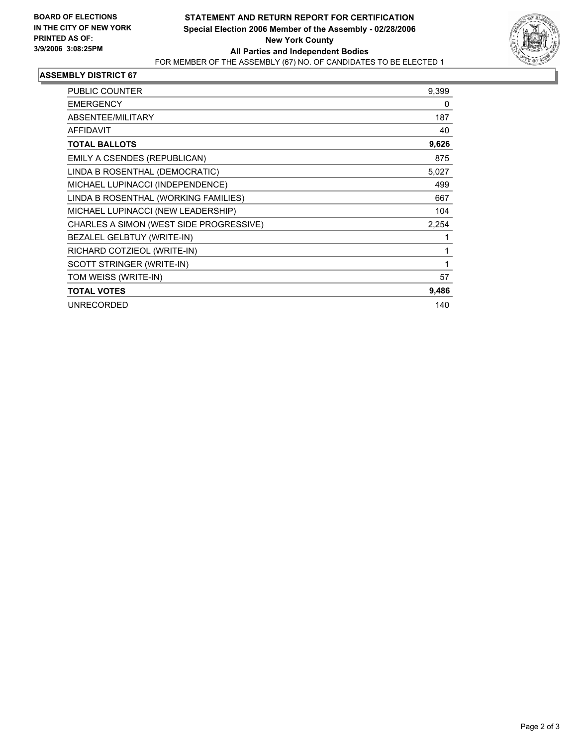

#### **ASSEMBLY DISTRICT 67**

| <b>PUBLIC COUNTER</b>                   | 9,399 |
|-----------------------------------------|-------|
| <b>EMERGENCY</b>                        | 0     |
| ABSENTEE/MILITARY                       | 187   |
| <b>AFFIDAVIT</b>                        | 40    |
| <b>TOTAL BALLOTS</b>                    | 9,626 |
| EMILY A CSENDES (REPUBLICAN)            | 875   |
| LINDA B ROSENTHAL (DEMOCRATIC)          | 5,027 |
| MICHAEL LUPINACCI (INDEPENDENCE)        | 499   |
| LINDA B ROSENTHAL (WORKING FAMILIES)    | 667   |
| MICHAEL LUPINACCI (NEW LEADERSHIP)      | 104   |
| CHARLES A SIMON (WEST SIDE PROGRESSIVE) | 2,254 |
| BEZALEL GELBTUY (WRITE-IN)              |       |
| RICHARD COTZIEOL (WRITE-IN)             |       |
| SCOTT STRINGER (WRITE-IN)               |       |
| TOM WEISS (WRITE-IN)                    | 57    |
| <b>TOTAL VOTES</b>                      | 9,486 |
| <b>UNRECORDED</b>                       | 140   |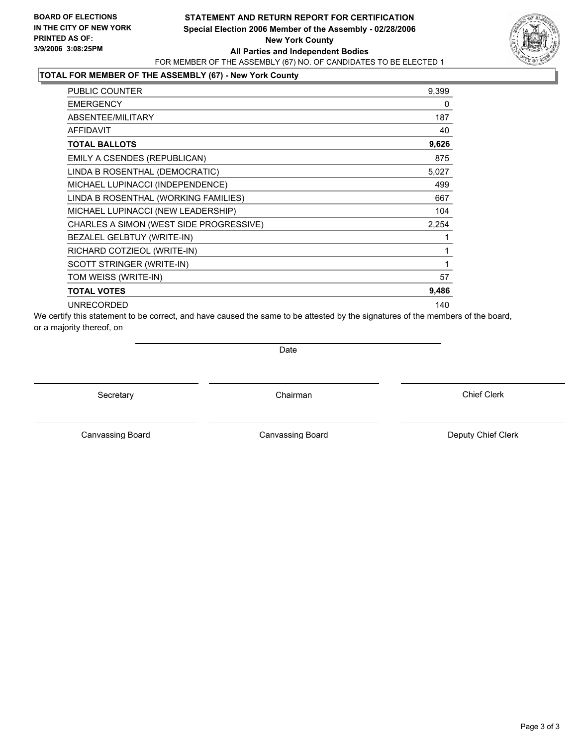### **STATEMENT AND RETURN REPORT FOR CERTIFICATION Special Election 2006 Member of the Assembly - 02/28/2006 New York County All Parties and Independent Bodies** FOR MEMBER OF THE ASSEMBLY (67) NO. OF CANDIDATES TO BE ELECTED 1



### **TOTAL FOR MEMBER OF THE ASSEMBLY (67) - New York County**

| PUBLIC COUNTER                          | 9,399 |
|-----------------------------------------|-------|
| <b>EMERGENCY</b>                        | 0     |
| ABSENTEE/MILITARY                       | 187   |
| <b>AFFIDAVIT</b>                        | 40    |
| <b>TOTAL BALLOTS</b>                    | 9,626 |
| EMILY A CSENDES (REPUBLICAN)            | 875   |
| LINDA B ROSENTHAL (DEMOCRATIC)          | 5,027 |
| MICHAEL LUPINACCI (INDEPENDENCE)        | 499   |
| LINDA B ROSENTHAL (WORKING FAMILIES)    | 667   |
| MICHAEL LUPINACCI (NEW LEADERSHIP)      | 104   |
| CHARLES A SIMON (WEST SIDE PROGRESSIVE) | 2,254 |
| BEZALEL GELBTUY (WRITE-IN)              |       |
| RICHARD COTZIEOL (WRITE-IN)             |       |
| SCOTT STRINGER (WRITE-IN)               |       |
| TOM WEISS (WRITE-IN)                    | 57    |
| <b>TOTAL VOTES</b>                      | 9,486 |
| <b>UNRECORDED</b>                       | 140   |

We certify this statement to be correct, and have caused the same to be attested by the signatures of the members of the board, or a majority thereof, on

Date

Secretary **Chairman** 

Canvassing Board

Chief Clerk

Canvassing Board **Canvassing Board** Canvassing Board **Deputy Chief Clerk**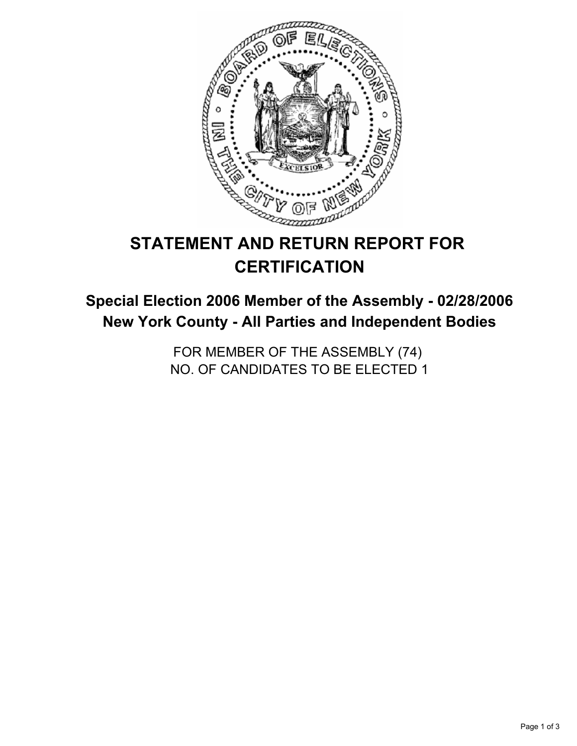

# **STATEMENT AND RETURN REPORT FOR CERTIFICATION**

## **Special Election 2006 Member of the Assembly - 02/28/2006 New York County - All Parties and Independent Bodies**

FOR MEMBER OF THE ASSEMBLY (74) NO. OF CANDIDATES TO BE ELECTED 1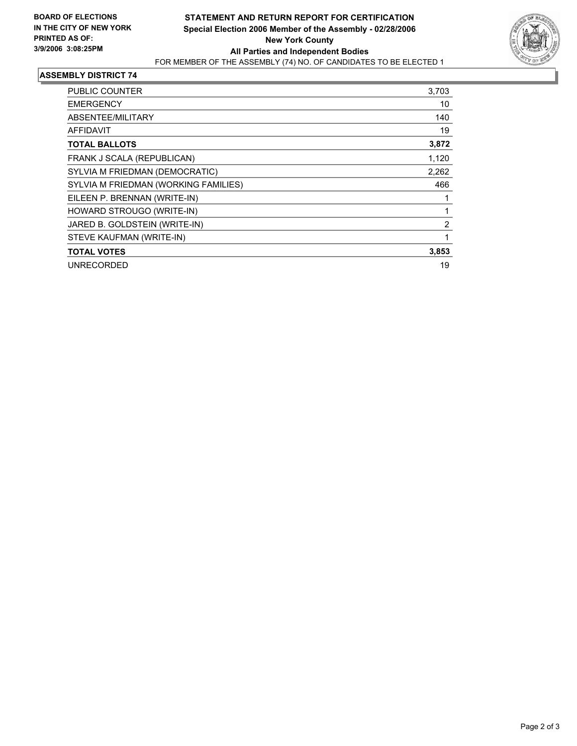

#### **ASSEMBLY DISTRICT 74**

| <b>PUBLIC COUNTER</b>                | 3,703 |
|--------------------------------------|-------|
| <b>EMERGENCY</b>                     | 10    |
| ABSENTEE/MILITARY                    | 140   |
| AFFIDAVIT                            | 19    |
| <b>TOTAL BALLOTS</b>                 | 3,872 |
| FRANK J SCALA (REPUBLICAN)           | 1,120 |
| SYLVIA M FRIEDMAN (DEMOCRATIC)       | 2,262 |
| SYLVIA M FRIEDMAN (WORKING FAMILIES) | 466   |
| EILEEN P. BRENNAN (WRITE-IN)         |       |
| HOWARD STROUGO (WRITE-IN)            |       |
| JARED B. GOLDSTEIN (WRITE-IN)        | 2     |
| STEVE KAUFMAN (WRITE-IN)             |       |
| <b>TOTAL VOTES</b>                   | 3,853 |
| <b>UNRECORDED</b>                    | 19    |